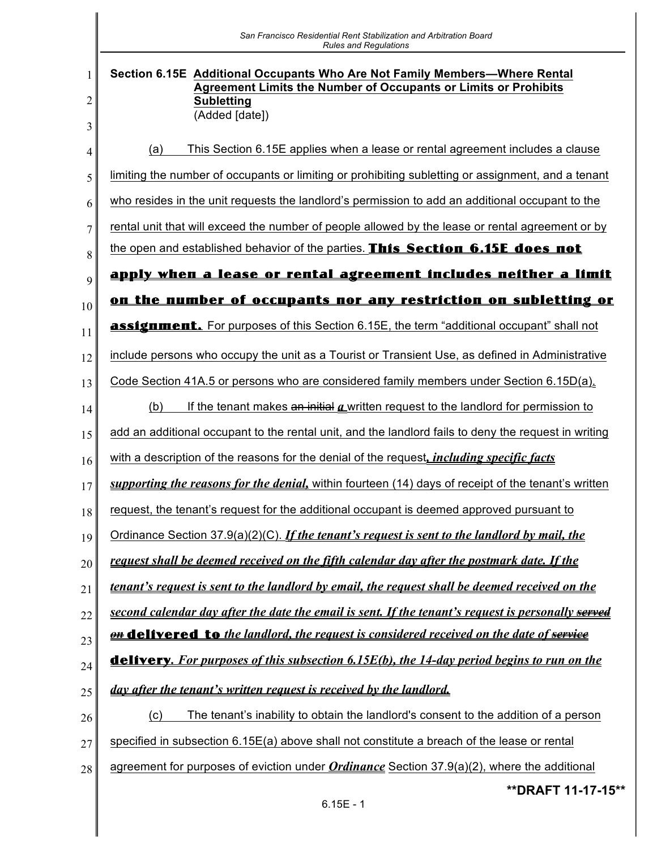|        | San Francisco Residential Rent Stabilization and Arbitration Board<br><b>Rules and Regulations</b>                                                                                          |
|--------|---------------------------------------------------------------------------------------------------------------------------------------------------------------------------------------------|
| 1<br>2 | Section 6.15E Additional Occupants Who Are Not Family Members—Where Rental<br><b>Agreement Limits the Number of Occupants or Limits or Prohibits</b><br><b>Subletting</b><br>(Added [date]) |
| 3<br>4 | This Section 6.15E applies when a lease or rental agreement includes a clause<br>(a)                                                                                                        |
| 5      | limiting the number of occupants or limiting or prohibiting subletting or assignment, and a tenant                                                                                          |
| 6      | who resides in the unit requests the landlord's permission to add an additional occupant to the                                                                                             |
| 7      | rental unit that will exceed the number of people allowed by the lease or rental agreement or by                                                                                            |
| 8      | the open and established behavior of the parties. This Section 6.15E does not                                                                                                               |
| 9      | <u>apply when a lease or rental agreement includes neither a limit</u>                                                                                                                      |
| 10     | on the number of occupants nor any restriction on subletting or                                                                                                                             |
| 11     | <b>assignment.</b> For purposes of this Section 6.15E, the term "additional occupant" shall not                                                                                             |
| 12     | include persons who occupy the unit as a Tourist or Transient Use, as defined in Administrative                                                                                             |
| 13     | Code Section 41A.5 or persons who are considered family members under Section 6.15D(a).                                                                                                     |
| 14     | If the tenant makes $\theta$ is initial $\theta$ written request to the landlord for permission to<br>(b)                                                                                   |
| 15     | add an additional occupant to the rental unit, and the landlord fails to deny the request in writing                                                                                        |
| 16     | with a description of the reasons for the denial of the request, <i>including specific facts</i>                                                                                            |
| 17     | supporting the reasons for the denial, within fourteen (14) days of receipt of the tenant's written                                                                                         |
| 18     | request, the tenant's request for the additional occupant is deemed approved pursuant to                                                                                                    |
| 19     | Ordinance Section 37.9(a)(2)(C). If the tenant's request is sent to the landlord by mail, the                                                                                               |
| 20     | request shall be deemed received on the fifth calendar day after the postmark date. If the                                                                                                  |
| 21     | tenant's request is sent to the landlord by email, the request shall be deemed received on the                                                                                              |
| 22     | second calendar day after the date the email is sent. If the tenant's request is personally served                                                                                          |
| 23     | <b>on delivered to</b> the landlord, the request is considered received on the date of service                                                                                              |
| 24     | <b>delivery.</b> For purposes of this subsection 6.15E(b), the 14-day period begins to run on the                                                                                           |
| 25     | day after the tenant's written request is received by the landlord.                                                                                                                         |
| 26     | The tenant's inability to obtain the landlord's consent to the addition of a person<br>(c)                                                                                                  |
| 27     | specified in subsection 6.15E(a) above shall not constitute a breach of the lease or rental                                                                                                 |
| 28     | agreement for purposes of eviction under <b>Ordinance</b> Section 37.9(a)(2), where the additional                                                                                          |
|        | **DRAFT 11-17-15**<br>$6.15E - 1$                                                                                                                                                           |
|        |                                                                                                                                                                                             |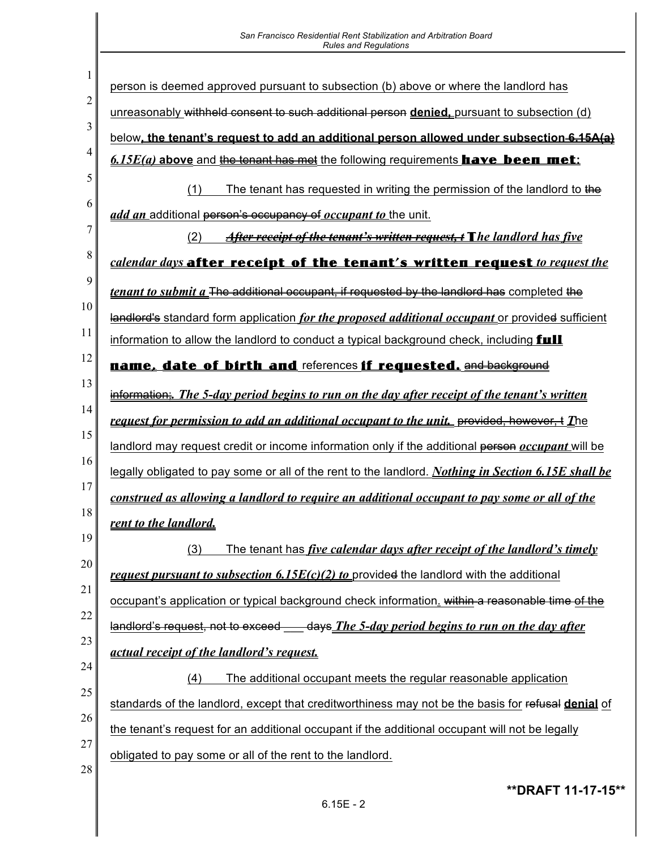| San Francisco Residential Rent Stabilization and Arbitration Board<br><b>Rules and Regulations</b>      |
|---------------------------------------------------------------------------------------------------------|
|                                                                                                         |
| person is deemed approved pursuant to subsection (b) above or where the landlord has                    |
| unreasonably withheld consent to such additional person denied, pursuant to subsection (d)              |
| below, the tenant's request to add an additional person allowed under subsection 6.15A(a)               |
| $6.15E(a)$ above and the tenant has met the following requirements <b>have been met</b> :               |
| (1)<br>The tenant has requested in writing the permission of the landlord to the                        |
| add an additional person's occupancy of occupant to the unit.                                           |
| <b>After receipt of the tenant's written request, t T</b> he landlord has five<br>(2)                   |
| calendar days after receipt of the tenant's written request to request the                              |
| <i>tenant to submit a</i> The additional occupant, if requested by the landlord has completed the       |
| landlord's standard form application for the proposed additional occupant or provided sufficient        |
| information to allow the landlord to conduct a typical background check, including <b>full</b>          |
| name, date of birth and references if requested. and background                                         |
| information. The 5-day period begins to run on the day after receipt of the tenant's written            |
| request for permission to add an additional occupant to the unit. provided, however, + The              |
| landlord may request credit or income information only if the additional person <i>occupant</i> will be |
| legally obligated to pay some or all of the rent to the landlord. Nothing in Section 6.15E shall be     |
| construed as allowing a landlord to require an additional occupant to pay some or all of the            |
| rent to the landlord.                                                                                   |
| The tenant has <i>five calendar days after receipt of the landlord's timely</i><br>(3)                  |
| request pursuant to subsection 6.15 $E(c)(2)$ to provided the landlord with the additional              |
| occupant's application or typical background check information. within a reasonable time of the         |
| landlord's request, not to exceed ____ days The 5-day period begins to run on the day after             |
| actual receipt of the landlord's request.                                                               |
| (4)<br>The additional occupant meets the regular reasonable application                                 |
| standards of the landlord, except that creditworthiness may not be the basis for refusal denial of      |
| the tenant's request for an additional occupant if the additional occupant will not be legally          |
| obligated to pay some or all of the rent to the landlord.                                               |
|                                                                                                         |
| ** DRAFT 11-17-15**                                                                                     |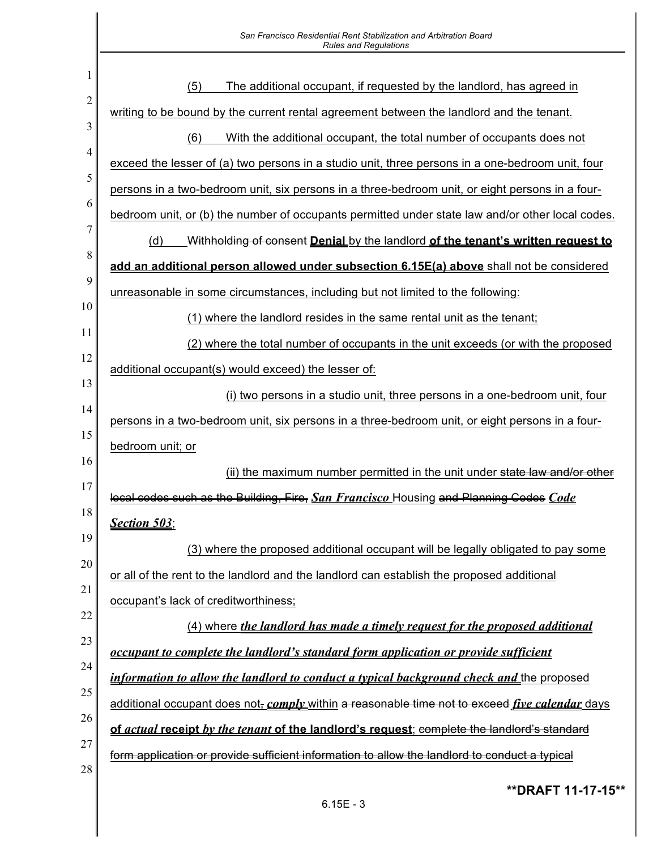|        | San Francisco Residential Rent Stabilization and Arbitration Board<br><b>Rules and Regulations</b>           |
|--------|--------------------------------------------------------------------------------------------------------------|
|        |                                                                                                              |
| 1      | The additional occupant, if requested by the landlord, has agreed in<br>(5)                                  |
| 2      | writing to be bound by the current rental agreement between the landlord and the tenant.                     |
| 3      | (6)<br>With the additional occupant, the total number of occupants does not                                  |
| 4      | exceed the lesser of (a) two persons in a studio unit, three persons in a one-bedroom unit, four             |
| 5      | persons in a two-bedroom unit, six persons in a three-bedroom unit, or eight persons in a four-              |
| 6      | bedroom unit, or (b) the number of occupants permitted under state law and/or other local codes.             |
| 7      | (d)<br>Withholding of consent <b>Denial</b> by the landlord of the tenant's written request to               |
| 8<br>9 | add an additional person allowed under subsection 6.15E(a) above shall not be considered                     |
| 10     | unreasonable in some circumstances, including but not limited to the following:                              |
| 11     | (1) where the landlord resides in the same rental unit as the tenant;                                        |
| 12     | (2) where the total number of occupants in the unit exceeds (or with the proposed                            |
| 13     | additional occupant(s) would exceed) the lesser of:                                                          |
| 14     | (i) two persons in a studio unit, three persons in a one-bedroom unit, four                                  |
| 15     | persons in a two-bedroom unit, six persons in a three-bedroom unit, or eight persons in a four-              |
| 16     | bedroom unit; or                                                                                             |
| 17     | (ii) the maximum number permitted in the unit under state law and/or other                                   |
| 18     | local codes such as the Building, Fire, San Francisco Housing and Planning Codes Code                        |
| 19     | <b>Section 503;</b>                                                                                          |
| 20     | (3) where the proposed additional occupant will be legally obligated to pay some                             |
| 21     | or all of the rent to the landlord and the landlord can establish the proposed additional                    |
| 22     | occupant's lack of creditworthiness;                                                                         |
| 23     | (4) where <i>the landlord has made a timely request for the proposed additional</i>                          |
| 24     | <u>occupant to complete the landlord's standard form application or provide sufficient</u>                   |
| 25     | <i>information to allow the landlord to conduct a typical background check and the proposed</i>              |
| 26     | additional occupant does not, <i>comply</i> within a reasonable time not to exceed <i>five calendar</i> days |
| 27     | of actual receipt by the tenant of the landlord's request; complete the landlord's standard                  |
| 28     | form application or provide sufficient information to allow the landlord to conduct a typical                |

**\*\*DRAFT 11-17-15\*\***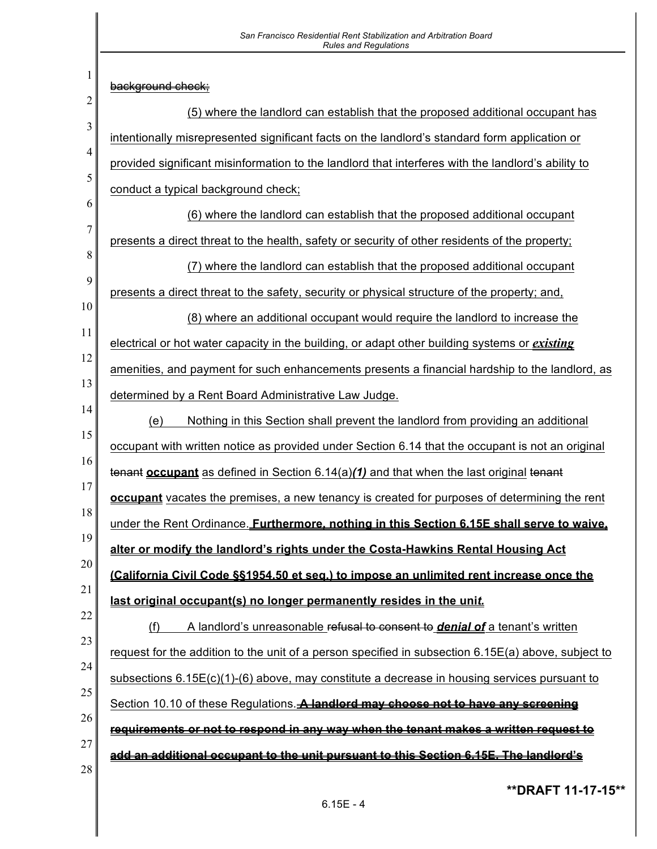| San Francisco Residential Rent Stabilization and Arbitration Board<br><b>Rules and Regulations</b>   |
|------------------------------------------------------------------------------------------------------|
| background check:                                                                                    |
| (5) where the landlord can establish that the proposed additional occupant has                       |
| intentionally misrepresented significant facts on the landlord's standard form application or        |
| provided significant misinformation to the landlord that interferes with the landlord's ability to   |
| conduct a typical background check;                                                                  |
| (6) where the landlord can establish that the proposed additional occupant                           |
| presents a direct threat to the health, safety or security of other residents of the property;       |
| (7) where the landlord can establish that the proposed additional occupant                           |
| presents a direct threat to the safety, security or physical structure of the property; and,         |
| (8) where an additional occupant would require the landlord to increase the                          |
| electrical or hot water capacity in the building, or adapt other building systems or <i>existing</i> |
| amenities, and payment for such enhancements presents a financial hardship to the landlord, as       |
| determined by a Rent Board Administrative Law Judge.                                                 |
| (e)<br>Nothing in this Section shall prevent the landlord from providing an additional               |
| occupant with written notice as provided under Section 6.14 that the occupant is not an original     |
| tenant <b>occupant</b> as defined in Section $6.14(a)(1)$ and that when the last original tenant     |
| occupant vacates the premises, a new tenancy is created for purposes of determining the rent         |
| under the Rent Ordinance. <b>Furthermore, nothing in this Section 6.15E shall serve to waive,</b>    |
| alter or modify the landlord's rights under the Costa-Hawkins Rental Housing Act                     |
| (California Civil Code §§1954.50 et seg.) to impose an unlimited rent increase once the              |
| last original occupant(s) no longer permanently resides in the unit.                                 |
| A landlord's unreasonable refusal to consent to <i>denial of</i> a tenant's written<br>(f)           |
| request for the addition to the unit of a person specified in subsection 6.15E(a) above, subject to  |
| subsections $6.15E(c)(1)$ -(6) above, may constitute a decrease in housing services pursuant to      |
| Section 10.10 of these Regulations. A landlord may choose not to have any screening                  |
| requirements or not to respond in any way when the tenant makes a written request to                 |
| add an additional occupant to the unit pursuant to this Section 6.15E. The landlord's                |
| ** DRAFT 11-17-15**                                                                                  |